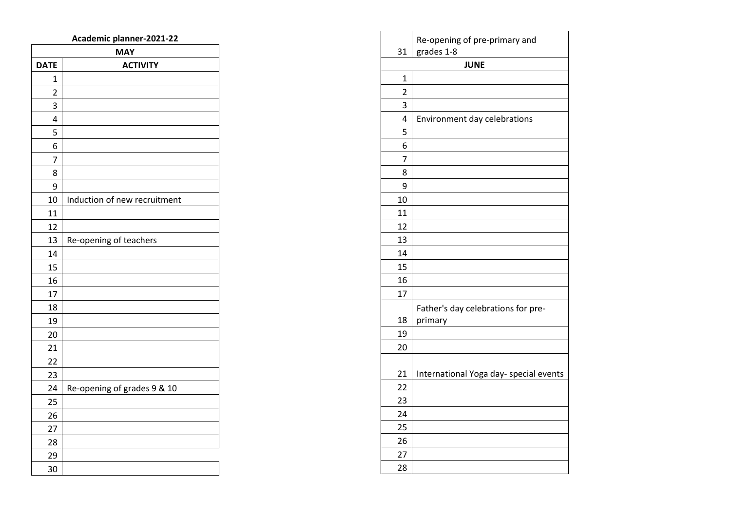## **Academic planner-2021-22**

| <b>MAY</b>     |                              |  |
|----------------|------------------------------|--|
| <b>DATE</b>    | <b>ACTIVITY</b>              |  |
| 1              |                              |  |
| $\overline{c}$ |                              |  |
| 3              |                              |  |
| 4              |                              |  |
| 5              |                              |  |
| 6              |                              |  |
| 7              |                              |  |
| 8              |                              |  |
| 9              |                              |  |
| 10             | Induction of new recruitment |  |
| 11             |                              |  |
| 12             |                              |  |
| 13             | Re-opening of teachers       |  |
| 14             |                              |  |
| 15             |                              |  |
| 16             |                              |  |
| 17             |                              |  |
| 18             |                              |  |
| 19             |                              |  |
| 20             |                              |  |
| 21             |                              |  |
| 22             |                              |  |
| 23             |                              |  |
| 24             | Re-opening of grades 9 & 10  |  |
| 25             |                              |  |
| 26             |                              |  |
| 27             |                              |  |
| 28             |                              |  |
| 29             |                              |  |
| 30             |                              |  |

|                | Re-opening of pre-primary and          |  |  |
|----------------|----------------------------------------|--|--|
| 31             | grades 1-8                             |  |  |
|                | <b>JUNE</b>                            |  |  |
| 1              |                                        |  |  |
| $\overline{2}$ |                                        |  |  |
| 3              |                                        |  |  |
| 4              | Environment day celebrations           |  |  |
| 5              |                                        |  |  |
| 6              |                                        |  |  |
| 7              |                                        |  |  |
| 8              |                                        |  |  |
| 9              |                                        |  |  |
| 10             |                                        |  |  |
| 11             |                                        |  |  |
| 12             |                                        |  |  |
| 13             |                                        |  |  |
| 14             |                                        |  |  |
| 15             |                                        |  |  |
| 16             |                                        |  |  |
| 17             |                                        |  |  |
|                | Father's day celebrations for pre-     |  |  |
| 18             | primary                                |  |  |
| 19             |                                        |  |  |
| 20             |                                        |  |  |
|                |                                        |  |  |
| 21             | International Yoga day- special events |  |  |
| 22             |                                        |  |  |
| 23             |                                        |  |  |
| 24             |                                        |  |  |
| 25             |                                        |  |  |
| 26             |                                        |  |  |
| 27             |                                        |  |  |
| 28             |                                        |  |  |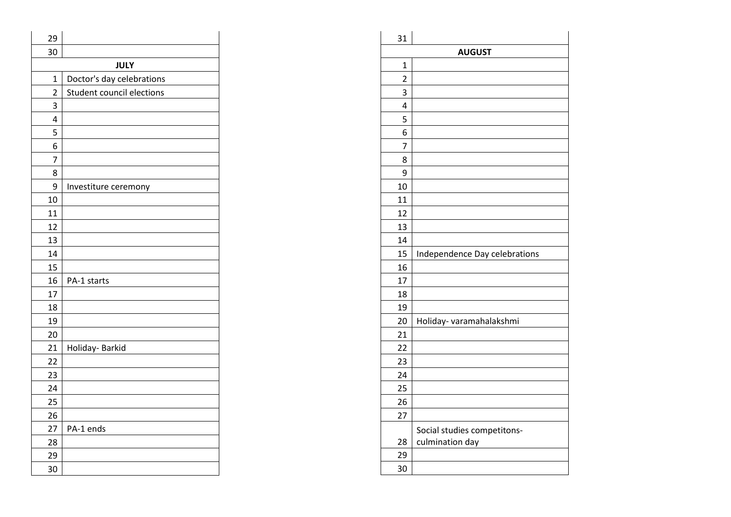| 29             |                           |
|----------------|---------------------------|
| 30             |                           |
|                | <b>JULY</b>               |
| $\overline{1}$ | Doctor's day celebrations |
| $\overline{2}$ | Student council elections |
| 3              |                           |
| 4              |                           |
| 5              |                           |
| 6              |                           |
| 7              |                           |
| 8              |                           |
| 9              | Investiture ceremony      |
| 10             |                           |
| 11             |                           |
| 12             |                           |
| 13             |                           |
| 14             |                           |
| 15             |                           |
| 16             | PA-1 starts               |
| 17             |                           |
| 18             |                           |
| 19             |                           |
| 20             |                           |
| 21             | Holiday- Barkid           |
| 22             |                           |
| 23             |                           |
| 24             |                           |
| 25             |                           |
| 26             |                           |
| 27             | PA-1 ends                 |
| 28             |                           |
| 29             |                           |
| 30             |                           |

| 31             |                               |  |
|----------------|-------------------------------|--|
| <b>AUGUST</b>  |                               |  |
| 1              |                               |  |
| $\overline{2}$ |                               |  |
| 3              |                               |  |
| 4              |                               |  |
| 5              |                               |  |
| 6              |                               |  |
| 7              |                               |  |
| 8              |                               |  |
| 9              |                               |  |
| 10             |                               |  |
| 11             |                               |  |
| 12             |                               |  |
| 13             |                               |  |
| 14             |                               |  |
| 15             | Independence Day celebrations |  |
| 16             |                               |  |
| 17             |                               |  |
| 18             |                               |  |
| 19             |                               |  |
| 20             | Holiday- varamahalakshmi      |  |
| 21             |                               |  |
| 22             |                               |  |
| 23             |                               |  |
| 24             |                               |  |
| 25             |                               |  |
| 26             |                               |  |
| 27             |                               |  |
|                | Social studies competitons-   |  |
| 28             | culmination day               |  |
| 29             |                               |  |
| 30             |                               |  |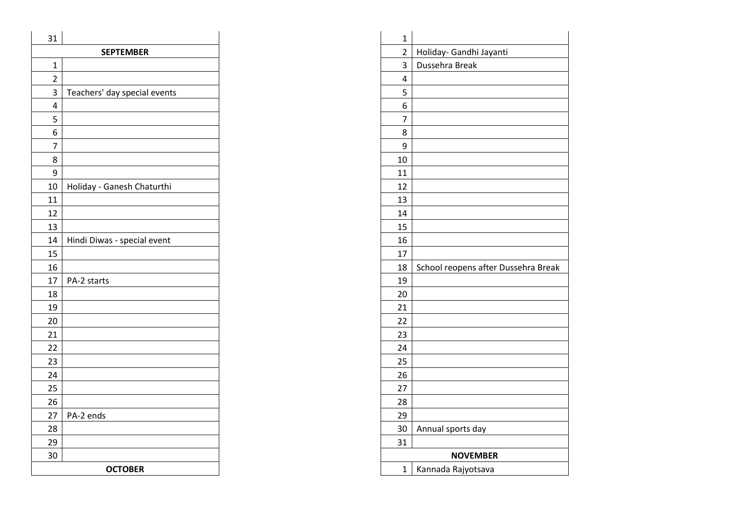| 31               |                              |  |
|------------------|------------------------------|--|
| <b>SEPTEMBER</b> |                              |  |
| $\mathbf{1}$     |                              |  |
| $\overline{2}$   |                              |  |
| 3                | Teachers' day special events |  |
| 4                |                              |  |
| 5                |                              |  |
| 6                |                              |  |
| 7                |                              |  |
| 8                |                              |  |
| 9                |                              |  |
| 10               | Holiday - Ganesh Chaturthi   |  |
| 11               |                              |  |
| 12               |                              |  |
| 13               |                              |  |
| 14               | Hindi Diwas - special event  |  |
| 15               |                              |  |
| 16               |                              |  |
| 17               | PA-2 starts                  |  |
| 18               |                              |  |
| 19               |                              |  |
| 20               |                              |  |
| 21               |                              |  |
| 22               |                              |  |
| 23               |                              |  |
| 24               |                              |  |
| 25               |                              |  |
| 26               |                              |  |
| 27               | PA-2 ends                    |  |
| 28               |                              |  |
| 29               |                              |  |
| 30               |                              |  |
| <b>OCTOBER</b>   |                              |  |

| $\mathbf{1}$   |                                     |  |
|----------------|-------------------------------------|--|
| $\overline{2}$ | Holiday- Gandhi Jayanti             |  |
| 3              | Dussehra Break                      |  |
| 4              |                                     |  |
| 5              |                                     |  |
| 6              |                                     |  |
| 7              |                                     |  |
| 8              |                                     |  |
| 9              |                                     |  |
| 10             |                                     |  |
| 11             |                                     |  |
| 12             |                                     |  |
| 13             |                                     |  |
| 14             |                                     |  |
| 15             |                                     |  |
| 16             |                                     |  |
| 17             |                                     |  |
| 18             | School reopens after Dussehra Break |  |
| 19             |                                     |  |
| 20             |                                     |  |
| 21             |                                     |  |
| 22             |                                     |  |
| 23             |                                     |  |
| 24             |                                     |  |
| 25             |                                     |  |
| 26             |                                     |  |
| 27             |                                     |  |
| 28             |                                     |  |
| 29             |                                     |  |
| 30             | Annual sports day                   |  |
| 31             |                                     |  |
|                | <b>NOVEMBER</b>                     |  |
| $\mathbf 1$    | Kannada Rajyotsava                  |  |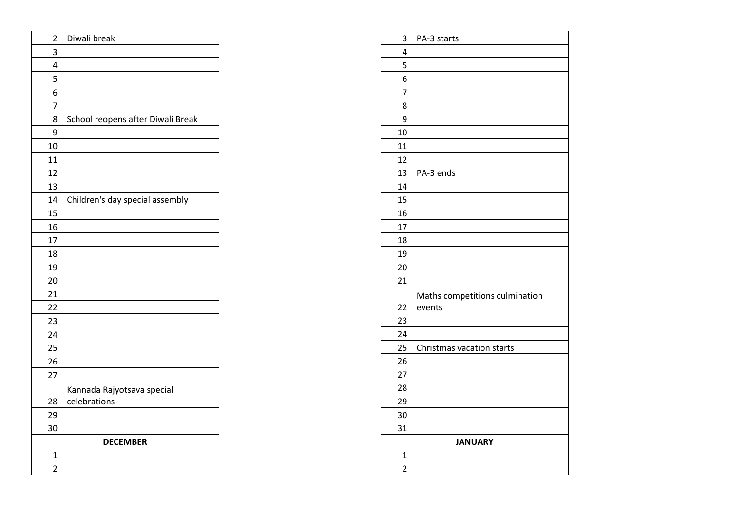| $\overline{2}$ | Diwali break                      |  |
|----------------|-----------------------------------|--|
| 3              |                                   |  |
| 4              |                                   |  |
| 5              |                                   |  |
| 6              |                                   |  |
| 7              |                                   |  |
| 8              | School reopens after Diwali Break |  |
| 9              |                                   |  |
| 10             |                                   |  |
| 11             |                                   |  |
| 12             |                                   |  |
| 13             |                                   |  |
| 14             | Children's day special assembly   |  |
| 15             |                                   |  |
| 16             |                                   |  |
| 17             |                                   |  |
| 18             |                                   |  |
| 19             |                                   |  |
| 20             |                                   |  |
| 21             |                                   |  |
| 22             |                                   |  |
| 23             |                                   |  |
| 24             |                                   |  |
| 25             |                                   |  |
| 26             |                                   |  |
| 27             |                                   |  |
|                | Kannada Rajyotsava special        |  |
| 28             | celebrations                      |  |
| 29             |                                   |  |
| 30             |                                   |  |
|                | <b>DECEMBER</b>                   |  |
| $\mathbf 1$    |                                   |  |
| $\overline{2}$ |                                   |  |

| 3              | PA-3 starts                    |  |
|----------------|--------------------------------|--|
| 4              |                                |  |
| 5              |                                |  |
| 6              |                                |  |
| $\overline{7}$ |                                |  |
| 8              |                                |  |
| 9              |                                |  |
| 10             |                                |  |
| 11             |                                |  |
| 12             |                                |  |
| 13             | PA-3 ends                      |  |
| 14             |                                |  |
| 15             |                                |  |
| 16             |                                |  |
| 17             |                                |  |
| 18             |                                |  |
| 19             |                                |  |
| 20             |                                |  |
| 21             |                                |  |
|                | Maths competitions culmination |  |
| 22             | events                         |  |
| 23             |                                |  |
| 24             |                                |  |
| 25             | Christmas vacation starts      |  |
| 26             |                                |  |
| 27             |                                |  |
| 28             |                                |  |
| 29             |                                |  |
| 30             |                                |  |
| 31             |                                |  |
| <b>JANUARY</b> |                                |  |
| 1              |                                |  |
| $\overline{2}$ |                                |  |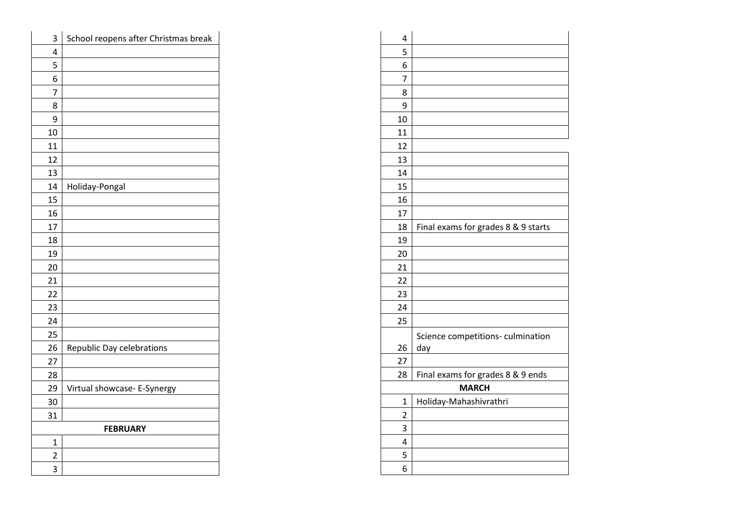| 3                       | School reopens after Christmas break |
|-------------------------|--------------------------------------|
| 4                       |                                      |
| 5                       |                                      |
| 6                       |                                      |
| $\overline{7}$          |                                      |
| 8                       |                                      |
| 9                       |                                      |
| 10                      |                                      |
| 11                      |                                      |
| 12                      |                                      |
| 13                      |                                      |
| 14                      | Holiday-Pongal                       |
| 15                      |                                      |
| 16                      |                                      |
| 17                      |                                      |
| 18                      |                                      |
| 19                      |                                      |
| 20                      |                                      |
| 21                      |                                      |
| 22                      |                                      |
| 23                      |                                      |
| 24                      |                                      |
| 25                      |                                      |
| 26                      | Republic Day celebrations            |
| 27                      |                                      |
| 28                      |                                      |
| 29                      | Virtual showcase- E-Synergy          |
| 30                      |                                      |
| 31                      |                                      |
|                         | <b>FEBRUARY</b>                      |
| $\mathbf{1}$            |                                      |
| $\overline{\mathbf{c}}$ |                                      |
| $\overline{3}$          |                                      |

| 4              |                                     |  |  |
|----------------|-------------------------------------|--|--|
| 5              |                                     |  |  |
| 6              |                                     |  |  |
| 7              |                                     |  |  |
| 8              |                                     |  |  |
| 9              |                                     |  |  |
| 10             |                                     |  |  |
| 11             |                                     |  |  |
| 12             |                                     |  |  |
| 13             |                                     |  |  |
| 14             |                                     |  |  |
| 15             |                                     |  |  |
| 16             |                                     |  |  |
| 17             |                                     |  |  |
| 18             | Final exams for grades 8 & 9 starts |  |  |
| 19             |                                     |  |  |
| 20             |                                     |  |  |
| 21             |                                     |  |  |
| 22             |                                     |  |  |
| 23             |                                     |  |  |
| 24             |                                     |  |  |
| 25             |                                     |  |  |
|                | Science competitions-culmination    |  |  |
| 26             | day                                 |  |  |
| 27             |                                     |  |  |
| 28             | Final exams for grades 8 & 9 ends   |  |  |
|                | <b>MARCH</b>                        |  |  |
| $\overline{1}$ | Holiday-Mahashivrathri              |  |  |
| $\overline{2}$ |                                     |  |  |
| 3              |                                     |  |  |
| 4              |                                     |  |  |
| 5              |                                     |  |  |
| 6              |                                     |  |  |